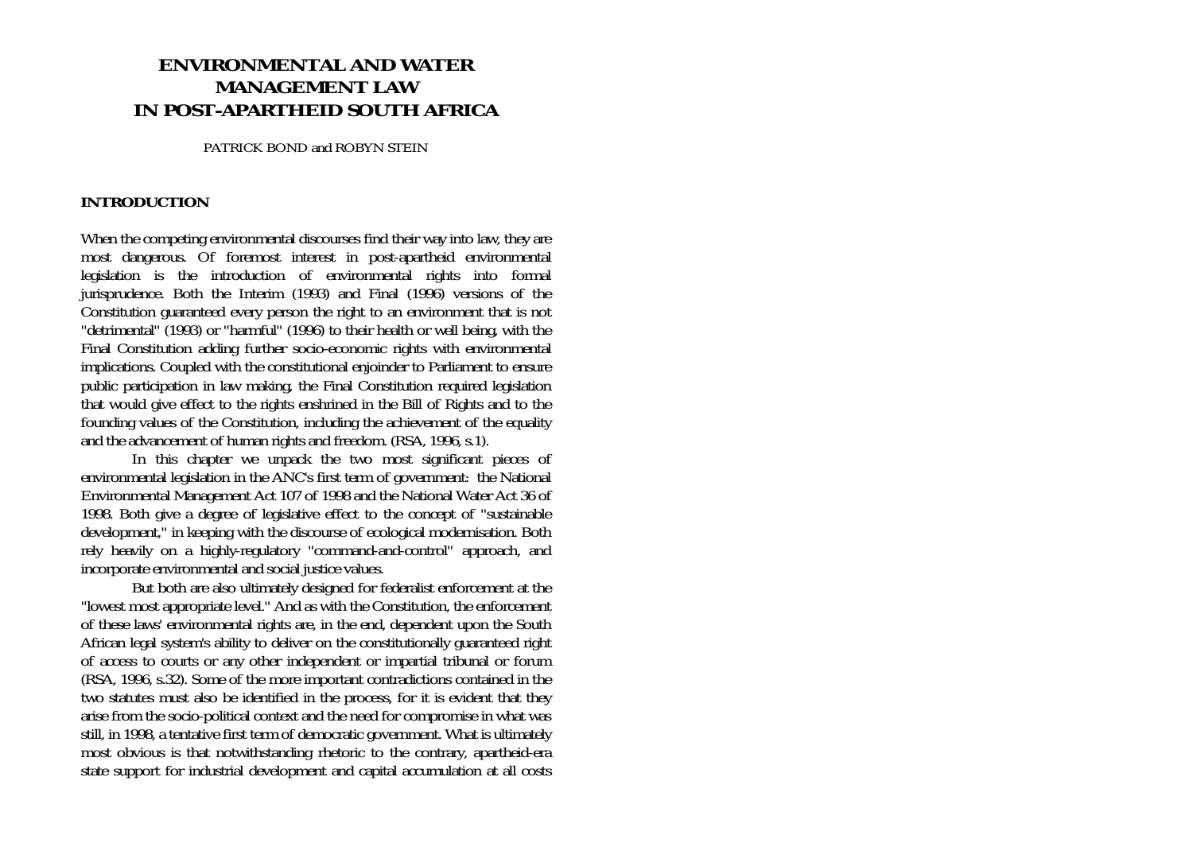# **ENVIRONMENTAL AND WATER MANAGEMENT LAW IN POST-APARTHEID SOUTH AFRICA**

### PATRICK BOND and ROBYN STEIN

# **INTRODUCTION**

When the competing environmental discourses find their way into law, they are most dangerous. Of foremost interest in post-apartheid environmental legislation is the introduction of environmental rights into formal jurisprudence. Both the Interim (1993) and Final (1996) versions of the Constitution guaranteed every person the right to an environment that is not "detrimental" (1993) or "harmful" (1996) to their health or well being, with the Final Constitution adding further socio-economic rights with environmental implications. Coupled with the constitutional enjoinder to Parliament to ensure public participation in law making, the Final Constitution required legislation that would give effect to the rights enshrined in the Bill of Rights and to the founding values of the Constitution, including the achievement of the equality and the advancement of human rights and freedom. (RSA, 1996, s.1).

 In this chapter we unpack the two most significant pieces of environmental legislation in the ANC's first term of government: the National Environmental Management Act 107 of 1998 and the National Water Act 36 of 1998. Both give a degree of legislative effect to the concept of "sustainable development," in keeping with the discourse of ecological modernisation. Both rely heavily on a highly-regulatory "command-and-control" approach, and incorporate environmental and social justice values.

 But both are also ultimately designed for federalist enforcement at the "lowest most appropriate level." And as with the Constitution, the enforcement of these laws' environmental rights are, in the end, dependent upon the South African legal system's ability to deliver on the constitutionally guaranteed right of access to courts or any other independent or impartial tribunal or forum (RSA, 1996, s.32). Some of the more important contradictions contained in the two statutes must also be identified in the process, for it is evident that they arise from the socio-political context and the need for compromise in what was still, in 1998, a tentative first term of democratic government. What is ultimately most obvious is that notwithstanding rhetoric to the contrary, apartheid-era state support for industrial development and capital accumulation at all costs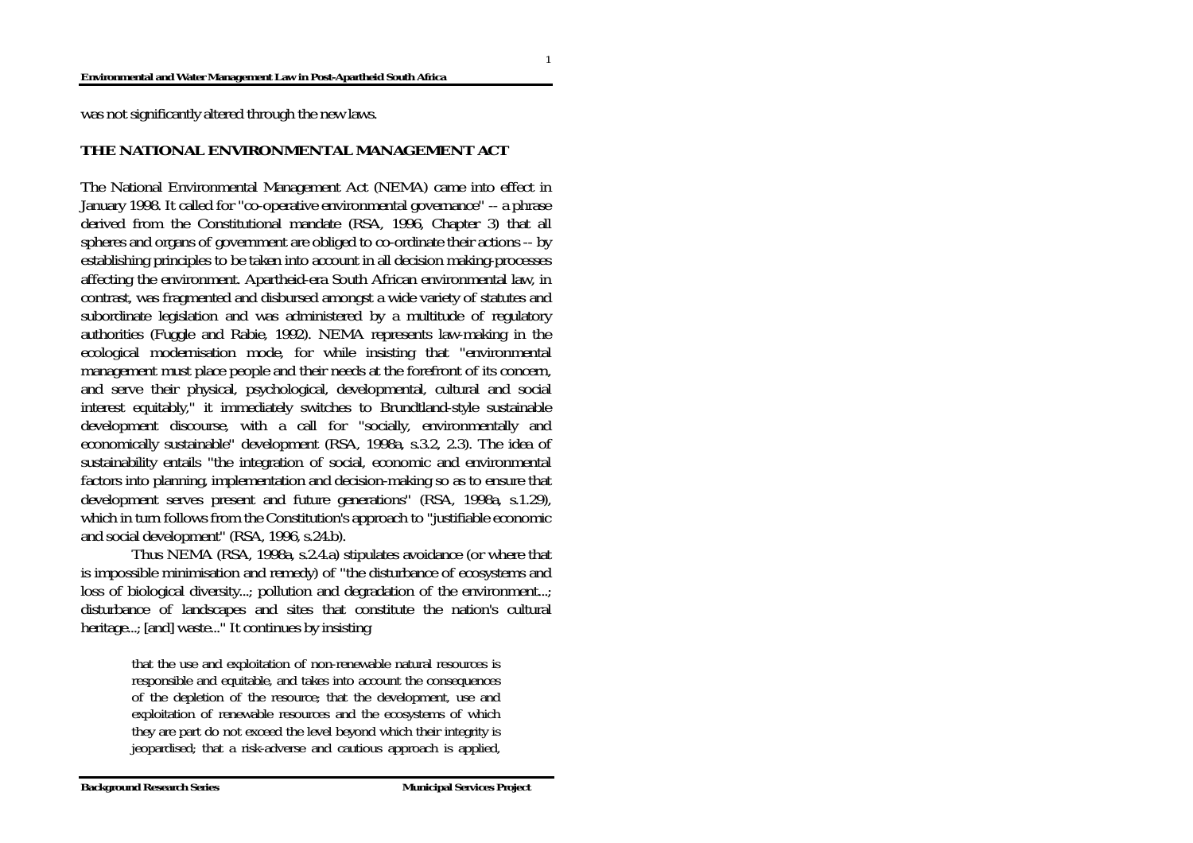was not significantly altered through the new laws.

# **THE NATIONAL ENVIRONMENTAL MANAGEMENT ACT**

The National Environmental Management Act (NEMA) came into effect in January 1998. It called for "co-operative environmental governance" -- a phrase derived from the Constitutional mandate (RSA, 1996, Chapter 3) that all spheres and organs of government are obliged to co-ordinate their actions -- by establishing principles to be taken into account in all decision making-processes affecting the environment. Apartheid-era South African environmental law, in contrast, was fragmented and disbursed amongst a wide variety of statutes and subordinate legislation and was administered by a multitude of regulatory authorities (Fuggle and Rabie, 1992). NEMA represents law-making in the ecological modernisation mode, for while insisting that "environmental management must place people and their needs at the forefront of its concern, and serve their physical, psychological, developmental, cultural and social interest equitably," it immediately switches to Brundtland-style sustainable development discourse, with a call for "socially, environmentally and economically sustainable" development (RSA, 1998a, s.3.2, 2.3). The idea of sustainability entails "the integration of social, economic and environmental factors into planning, implementation and decision-making so as to ensure that development serves present and future generations" (RSA, 1998a, s.1.29), which in turn follows from the Constitution's approach to "justifiable economic and social development" (RSA, 1996, s.24.b).

 Thus NEMA (RSA, 1998a, s.2.4.a) stipulates avoidance (or where that is impossible minimisation and remedy) of "the disturbance of ecosystems and loss of biological diversity...; pollution and degradation of the environment...; disturbance of landscapes and sites that constitute the nation's cultural heritage...; [and] waste..." It continues by insisting

> that the use and exploitation of non-renewable natural resources is responsible and equitable, and takes into account the consequences of the depletion of the resource; that the development, use and exploitation of renewable resources and the ecosystems of which they are part do not exceed the level beyond which their integrity is jeopardised; that a risk-adverse and cautious approach is applied,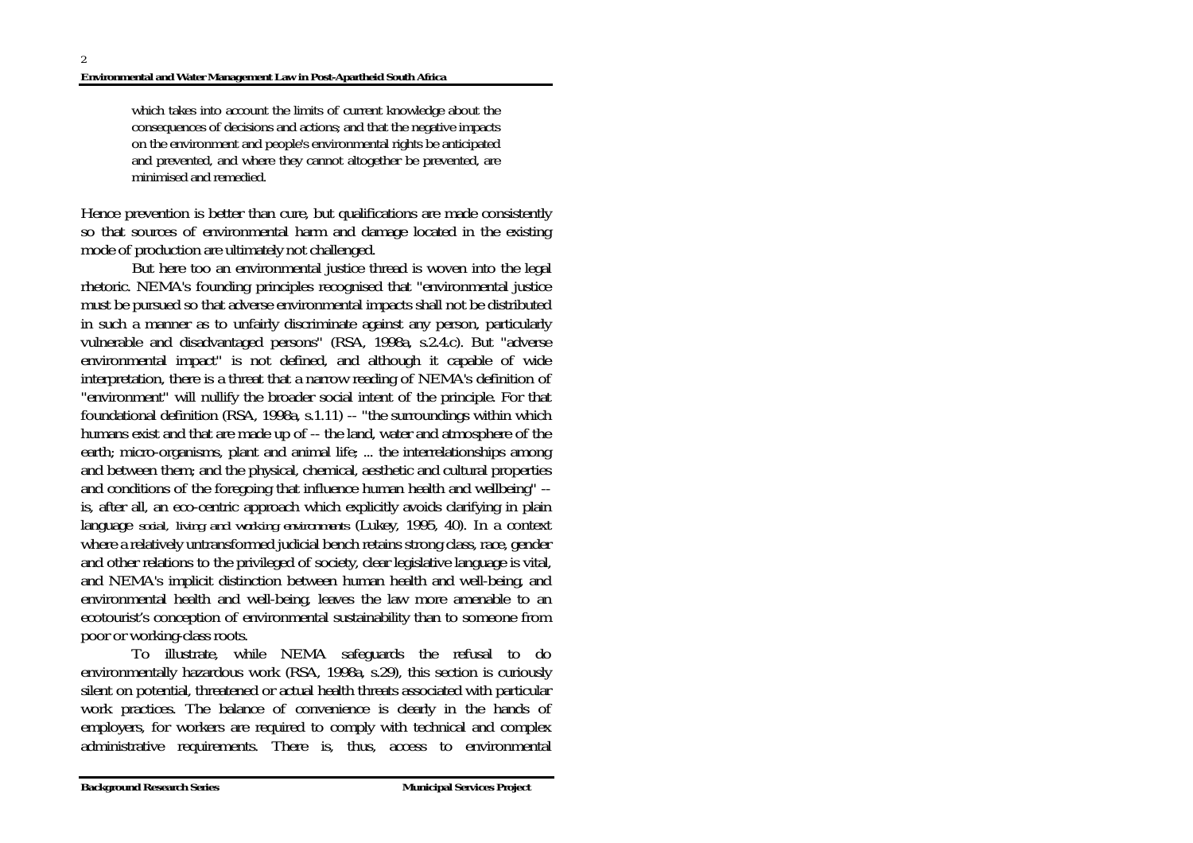which takes into account the limits of current knowledge about the consequences of decisions and actions; and that the negative impacts on the environment and people's environmental rights be anticipated and prevented, and where they cannot altogether be prevented, are minimised and remedied.

Hence prevention is better than cure, but qualifications are made consistently so that sources of environmental harm and damage located in the existing mode of production are ultimately not challenged.

 But here too an environmental justice thread is woven into the legal rhetoric. NEMA's founding principles recognised that "environmental justice must be pursued so that adverse environmental impacts shall not be distributed in such a manner as to unfairly discriminate against any person, particularly vulnerable and disadvantaged persons" (RSA, 1998a, s.2.4.c). But "adverse environmental impact" is not defined, and although it capable of wide interpretation, there is a threat that a narrow reading of NEMA's definition of "environment" will nullify the broader social intent of the principle. For that foundational definition (RSA, 1998a, s.1.11) -- "the surroundings within which humans exist and that are made up of -- the land, water and atmosphere of the earth; micro-organisms, plant and animal life; ... the interrelationships among and between them; and the physical, chemical, aesthetic and cultural properties and conditions of the foregoing that influence human health and wellbeing" - is, after all, an eco-centric approach which explicitly avoids clarifying in plain language *social, living and working environments* (Lukey, 1995, 40). In a context where a relatively untransformed judicial bench retains strong class, race, gender and other relations to the privileged of society, clear legislative language is vital, and NEMA's implicit distinction between human health and well-being, and environmental health and well-being, leaves the law more amenable to an ecotourist's conception of environmental sustainability than to someone from poor or working-class roots.

 To illustrate, while NEMA safeguards the refusal to do environmentally hazardous work (RSA, 1998a, s.29), this section is curiously silent on potential, threatened or actual health threats associated with particular work practices. The balance of convenience is clearly in the hands of employers, for workers are required to comply with technical and complex administrative requirements. There is, thus, access to environmental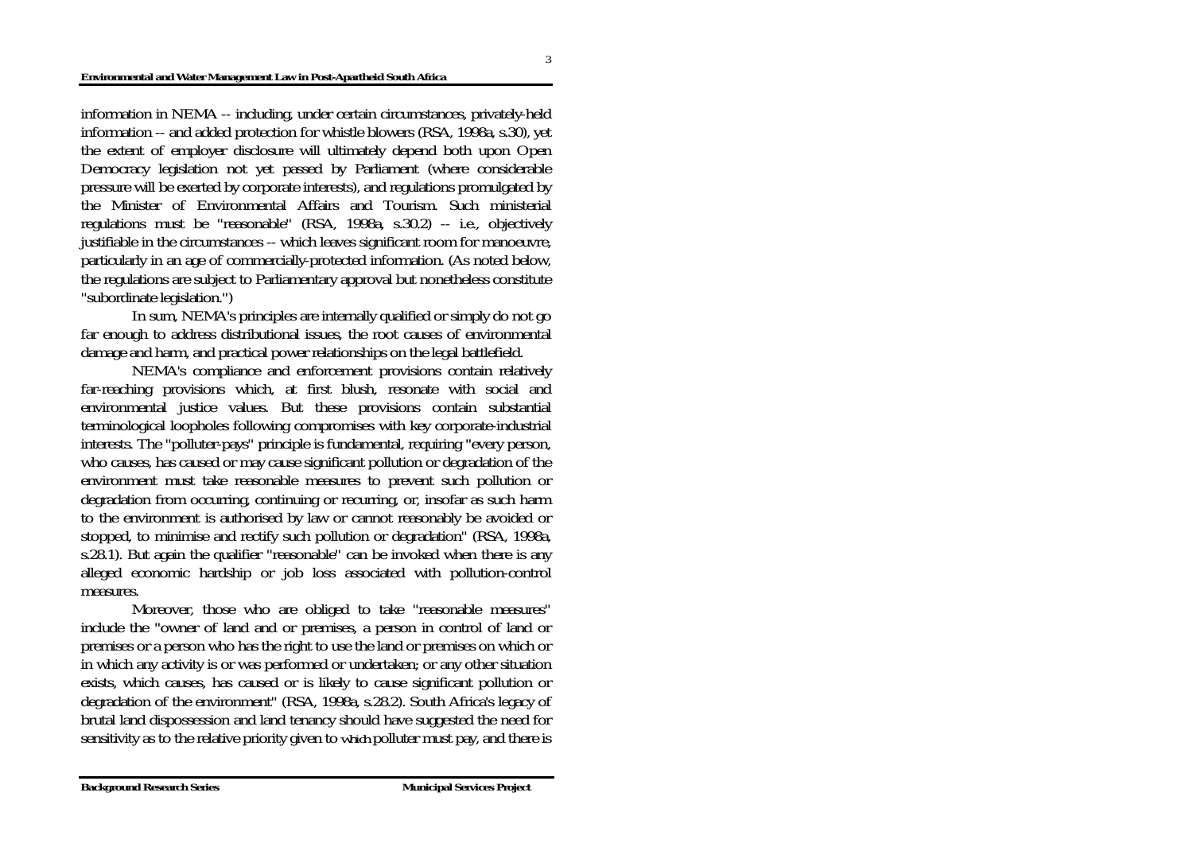information in NEMA -- including, under certain circumstances, privately-held information -- and added protection for whistle blowers (RSA, 1998a, s.30), yet the extent of employer disclosure will ultimately depend both upon Open Democracy legislation not yet passed by Parliament (where considerable pressure will be exerted by corporate interests), and regulations promulgated by the Minister of Environmental Affairs and Tourism. Such ministerial regulations must be "reasonable" (RSA, 1998a, s.30.2) -- i.e., objectively justifiable in the circumstances -- which leaves significant room for manoeuvre, particularly in an age of commercially-protected information. (As noted below, the regulations are subject to Parliamentary approval but nonetheless constitute "subordinate legislation.")

 In sum, NEMA's principles are internally qualified or simply do not go far enough to address distributional issues, the root causes of environmental damage and harm, and practical power relationships on the legal battlefield.

 NEMA's compliance and enforcement provisions contain relatively far-reaching provisions which, at first blush, resonate with social and environmental justice values. But these provisions contain substantial terminological loopholes following compromises with key corporate-industrial interests. The "polluter-pays" principle is fundamental, requiring "every person, who causes, has caused or may cause significant pollution or degradation of the environment must take reasonable measures to prevent such pollution or degradation from occurring, continuing or recurring, or, insofar as such harm to the environment is authorised by law or cannot reasonably be avoided or stopped, to minimise and rectify such pollution or degradation" (RSA, 1998a, s.28.1). But again the qualifier "reasonable" can be invoked when there is any alleged economic hardship or job loss associated with pollution-control measures.

 Moreover, those who are obliged to take "reasonable measures" include the "owner of land and or premises, a person in control of land or premises or a person who has the right to use the land or premises on which or in which any activity is or was performed or undertaken; or any other situation exists, which causes, has caused or is likely to cause significant pollution or degradation of the environment" (RSA, 1998a, s.28.2). South Africa's legacy of brutal land dispossession and land tenancy should have suggested the need for sensitivity as to the relative priority given to *which* polluter must pay, and there is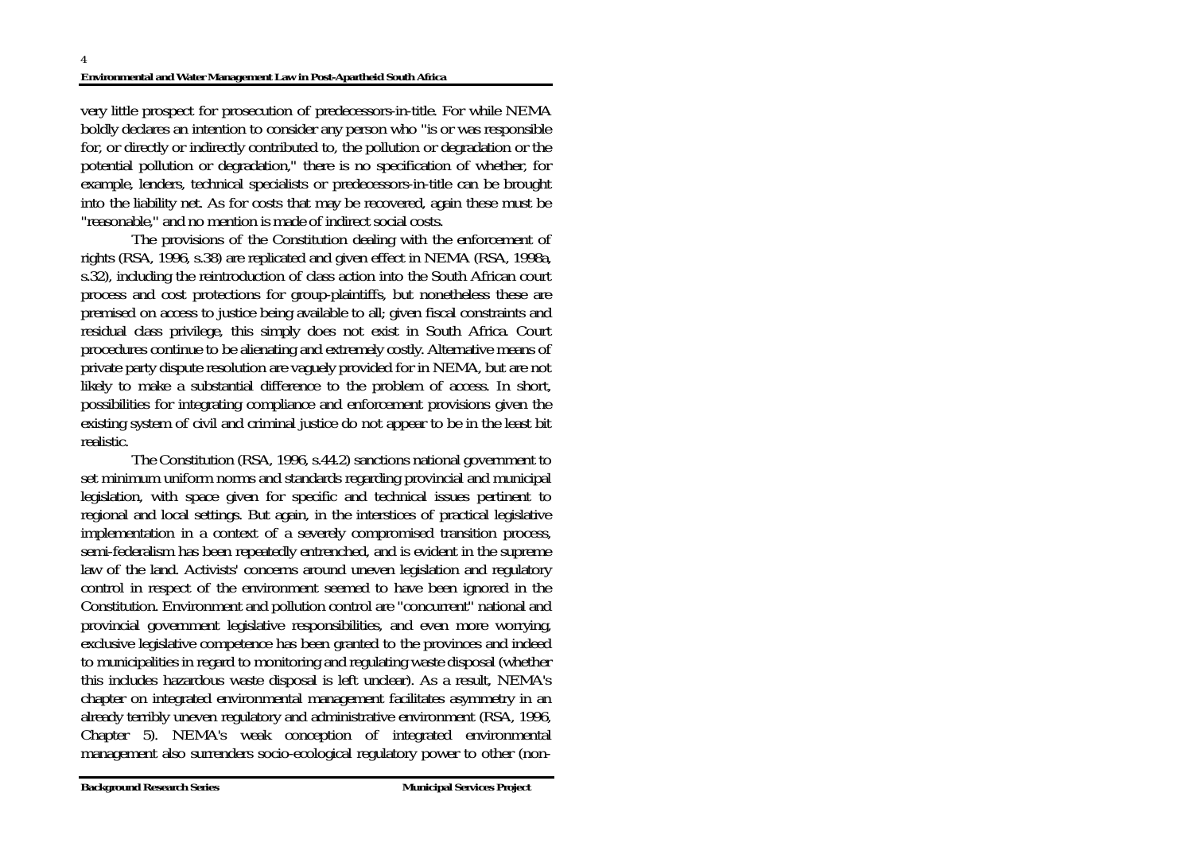4

### **Environmental and Water Management Law in Post-Apartheid South Africa**

very little prospect for prosecution of predecessors-in-title. For while NEMA boldly declares an intention to consider any person who "is or was responsible for, or directly or indirectly contributed to, the pollution or degradation or the potential pollution or degradation," there is no specification of whether, for example, lenders, technical specialists or predecessors-in-title can be brought into the liability net. As for costs that may be recovered, again these must be "reasonable," and no mention is made of indirect social costs.

 The provisions of the Constitution dealing with the enforcement of rights (RSA, 1996, s.38) are replicated and given effect in NEMA (RSA, 1998a, s.32), including the reintroduction of class action into the South African court process and cost protections for group-plaintiffs, but nonetheless these are premised on access to justice being available to all; given fiscal constraints and residual class privilege, this simply does not exist in South Africa. Court procedures continue to be alienating and extremely costly. Alternative means of private party dispute resolution are vaguely provided for in NEMA, but are not likely to make a substantial difference to the problem of access. In short, possibilities for integrating compliance and enforcement provisions given the existing system of civil and criminal justice do not appear to be in the least bit realistic.

 The Constitution (RSA, 1996, s.44.2) sanctions national government to set minimum uniform norms and standards regarding provincial and municipal legislation, with space given for specific and technical issues pertinent to regional and local settings. But again, in the interstices of practical legislative implementation in a context of a severely compromised transition process, semi-federalism has been repeatedly entrenched, and is evident in the supreme law of the land. Activists' concerns around uneven legislation and regulatory control in respect of the environment seemed to have been ignored in the Constitution. Environment and pollution control are "concurrent" national and provincial government legislative responsibilities, and even more worrying, exclusive legislative competence has been granted to the provinces and indeed to municipalities in regard to monitoring and regulating waste disposal (whether this includes hazardous waste disposal is left unclear). As a result, NEMA's chapter on integrated environmental management facilitates asymmetry in an already terribly uneven regulatory and administrative environment (RSA, 1996, Chapter 5). NEMA's weak conception of integrated environmental management also surrenders socio-ecological regulatory power to other (non-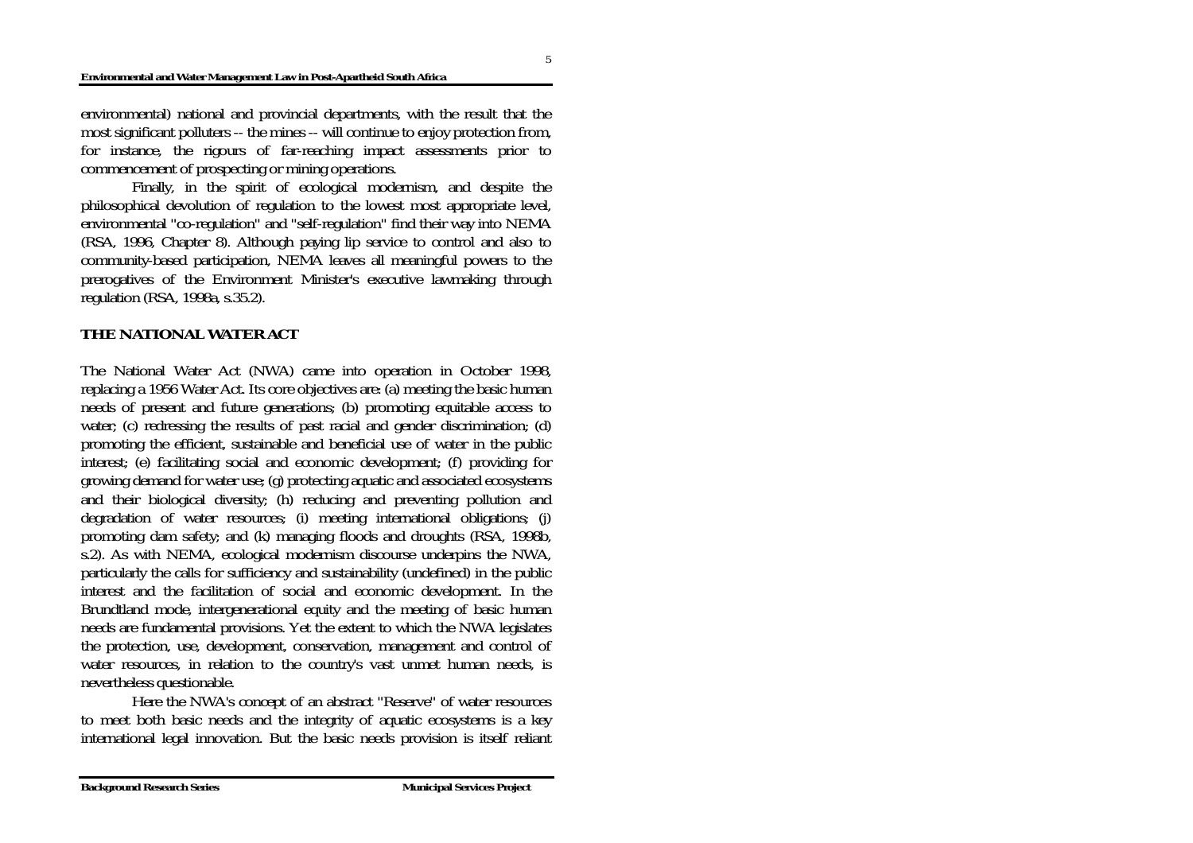environmental) national and provincial departments, with the result that the most significant polluters -- the mines -- will continue to enjoy protection from, for instance, the rigours of far-reaching impact assessments prior to commencement of prospecting or mining operations.

 Finally, in the spirit of ecological modernism, and despite the philosophical devolution of regulation to the lowest most appropriate level, environmental "co-regulation" and "self-regulation" find their way into NEMA (RSA, 1996, Chapter 8). Although paying lip service to control and also to community-based participation, NEMA leaves all meaningful powers to the prerogatives of the Environment Minister's executive lawmaking through regulation (RSA, 1998a, s.35.2).

## **THE NATIONAL WATER ACT**

The National Water Act (NWA) came into operation in October 1998, replacing a 1956 Water Act. Its core objectives are: (a) meeting the basic human needs of present and future generations; (b) promoting equitable access to water; (c) redressing the results of past racial and gender discrimination; (d) promoting the efficient, sustainable and beneficial use of water in the public interest; (e) facilitating social and economic development; (f) providing for growing demand for water use; (g) protecting aquatic and associated ecosystems and their biological diversity; (h) reducing and preventing pollution and degradation of water resources; (i) meeting international obligations; (j) promoting dam safety; and (k) managing floods and droughts (RSA, 1998b, s.2). As with NEMA, ecological modernism discourse underpins the NWA, particularly the calls for sufficiency and sustainability (undefined) in the public interest and the facilitation of social and economic development. In the Brundtland mode, intergenerational equity and the meeting of basic human needs are fundamental provisions. Yet the extent to which the NWA legislates the protection, use, development, conservation, management and control of water resources, in relation to the country's vast unmet human needs, is nevertheless questionable.

 Here the NWA's concept of an abstract "Reserve" of water resources to meet both basic needs and the integrity of aquatic ecosystems is a key international legal innovation. But the basic needs provision is itself reliant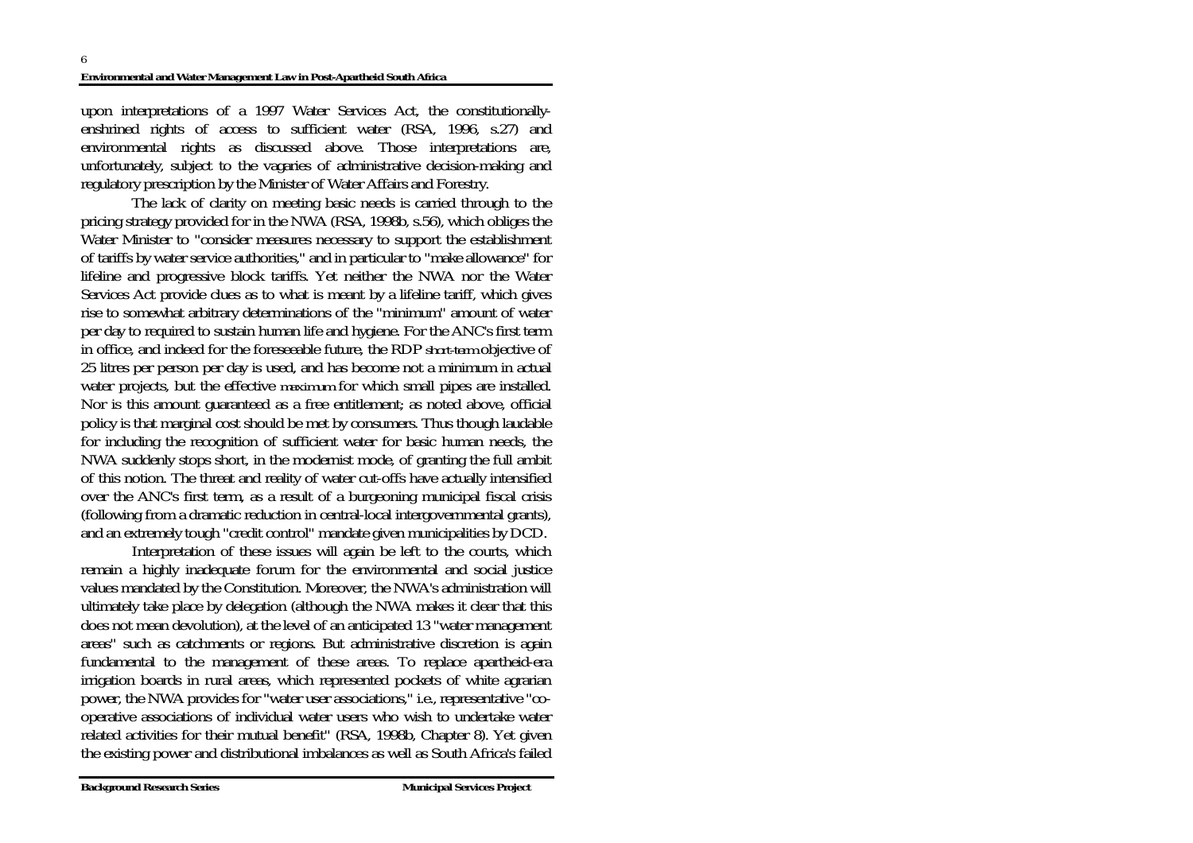upon interpretations of a 1997 Water Services Act, the constitutionallyenshrined rights of access to sufficient water (RSA, 1996, s.27) and environmental rights as discussed above. Those interpretations are, unfortunately, subject to the vagaries of administrative decision-making and regulatory prescription by the Minister of Water Affairs and Forestry.

 The lack of clarity on meeting basic needs is carried through to the pricing strategy provided for in the NWA (RSA, 1998b, s.56), which obliges the Water Minister to "consider measures necessary to support the establishment of tariffs by water service authorities," and in particular to "make allowance" for lifeline and progressive block tariffs. Yet neither the NWA nor the Water Services Act provide clues as to what is meant by a lifeline tariff, which gives rise to somewhat arbitrary determinations of the "minimum" amount of water per day to required to sustain human life and hygiene. For the ANC's first term in office, and indeed for the foreseeable future, the RDP *short-term* objective of 25 litres per person per day is used, and has become not a minimum in actual water projects, but the effective *maximum* for which small pipes are installed. Nor is this amount guaranteed as a free entitlement; as noted above, official policy is that marginal cost should be met by consumers. Thus though laudable for including the recognition of sufficient water for basic human needs, the NWA suddenly stops short, in the modernist mode, of granting the full ambit of this notion. The threat and reality of water cut-offs have actually intensified over the ANC's first term, as a result of a burgeoning municipal fiscal crisis (following from a dramatic reduction in central-local intergovernmental grants), and an extremely tough "credit control" mandate given municipalities by DCD.

 Interpretation of these issues will again be left to the courts, which remain a highly inadequate forum for the environmental and social justice values mandated by the Constitution. Moreover, the NWA's administration will ultimately take place by delegation (although the NWA makes it clear that this does not mean devolution), at the level of an anticipated 13 "water management areas" such as catchments or regions. But administrative discretion is again fundamental to the management of these areas. To replace apartheid-era irrigation boards in rural areas, which represented pockets of white agrarian power, the NWA provides for "water user associations," i.e., representative "cooperative associations of individual water users who wish to undertake water related activities for their mutual benefit" (RSA, 1998b, Chapter 8). Yet given the existing power and distributional imbalances as well as South Africa's failed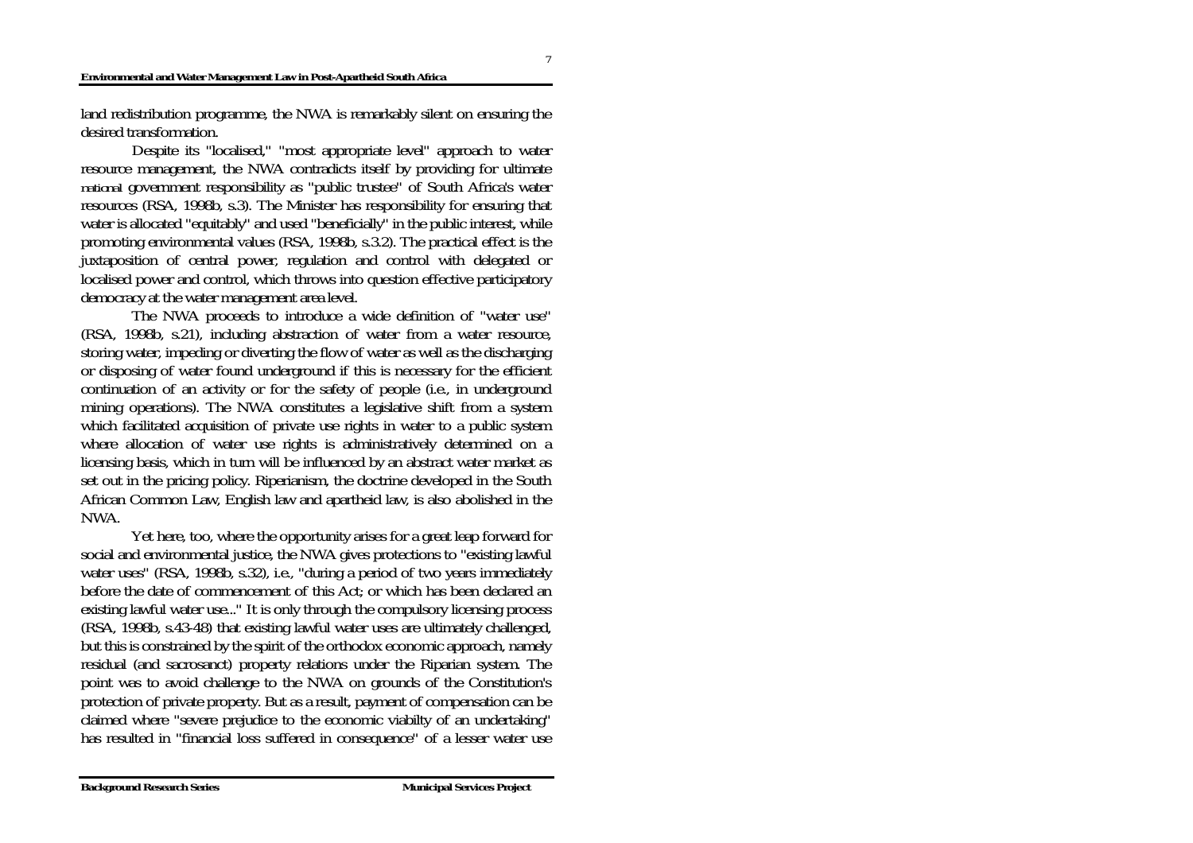land redistribution programme, the NWA is remarkably silent on ensuring the desired transformation.

 Despite its "localised," "most appropriate level" approach to water resource management, the NWA contradicts itself by providing for ultimate *national* government responsibility as "public trustee" of South Africa's water resources (RSA, 1998b, s.3). The Minister has responsibility for ensuring that water is allocated "equitably" and used "beneficially" in the public interest, while promoting environmental values (RSA, 1998b, s.3.2). The practical effect is the juxtaposition of central power, regulation and control with delegated or localised power and control, which throws into question effective participatory democracy at the water management area level.

 The NWA proceeds to introduce a wide definition of "water use" (RSA, 1998b, s.21), including abstraction of water from a water resource, storing water, impeding or diverting the flow of water as well as the discharging or disposing of water found underground if this is necessary for the efficient continuation of an activity or for the safety of people (i.e., in underground mining operations). The NWA constitutes a legislative shift from a system which facilitated acquisition of private use rights in water to a public system where allocation of water use rights is administratively determined on a licensing basis, which in turn will be influenced by an abstract water market as set out in the pricing policy. Riperianism, the doctrine developed in the South African Common Law, English law and apartheid law, is also abolished in the NWA.

 Yet here, too, where the opportunity arises for a great leap forward for social and environmental justice, the NWA gives protections to "existing lawful water uses" (RSA, 1998b, s.32), i.e., "during a period of two years immediately before the date of commencement of this Act; or which has been declared an existing lawful water use..." It is only through the compulsory licensing process (RSA, 1998b, s.43-48) that existing lawful water uses are ultimately challenged, but this is constrained by the spirit of the orthodox economic approach, namely residual (and sacrosanct) property relations under the Riparian system. The point was to avoid challenge to the NWA on grounds of the Constitution's protection of private property. But as a result, payment of compensation can be claimed where "severe prejudice to the economic viabilty of an undertaking" has resulted in "financial loss suffered in consequence" of a lesser water use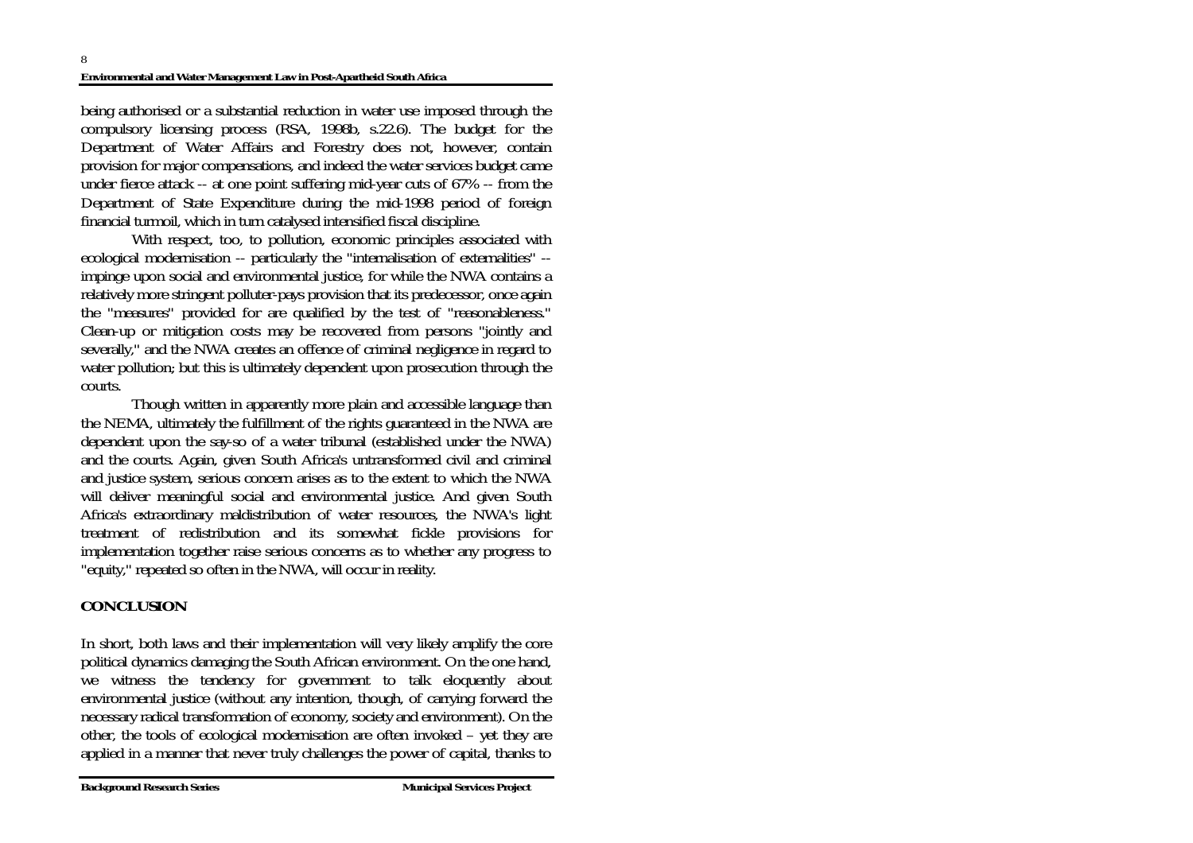being authorised or a substantial reduction in water use imposed through the compulsory licensing process (RSA, 1998b, s.22.6). The budget for the Department of Water Affairs and Forestry does not, however, contain provision for major compensations, and indeed the water services budget came under fierce attack -- at one point suffering mid-year cuts of 67% -- from the Department of State Expenditure during the mid-1998 period of foreign financial turmoil, which in turn catalysed intensified fiscal discipline.

 With respect, too, to pollution, economic principles associated with ecological modernisation -- particularly the "internalisation of externalities" - impinge upon social and environmental justice, for while the NWA contains a relatively more stringent polluter-pays provision that its predecessor, once again the "measures" provided for are qualified by the test of "reasonableness." Clean-up or mitigation costs may be recovered from persons "jointly and severally," and the NWA creates an offence of criminal negligence in regard to water pollution; but this is ultimately dependent upon prosecution through the courts.

 Though written in apparently more plain and accessible language than the NEMA, ultimately the fulfillment of the rights guaranteed in the NWA are dependent upon the say-so of a water tribunal (established under the NWA) and the courts. Again, given South Africa's untransformed civil and criminal and justice system, serious concern arises as to the extent to which the NWA will deliver meaningful social and environmental justice. And given South Africa's extraordinary maldistribution of water resources, the NWA's light treatment of redistribution and its somewhat fickle provisions for implementation together raise serious concerns as to whether any progress to "equity," repeated so often in the NWA, will occur in reality.

### **CONCLUSION**

In short, both laws and their implementation will very likely amplify the core political dynamics damaging the South African environment. On the one hand, we witness the tendency for government to talk eloquently about environmental justice (without any intention, though, of carrying forward the necessary radical transformation of economy, society and environment). On the other, the tools of ecological modernisation are often invoked – yet they are applied in a manner that never truly challenges the power of capital, thanks to